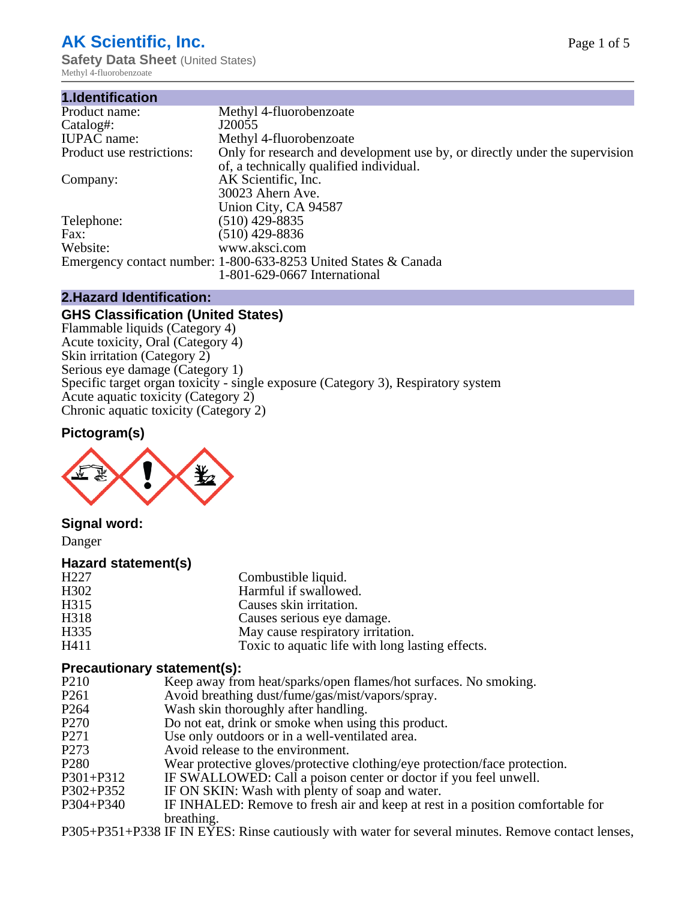## **AK Scientific, Inc.**

**Safety Data Sheet** (United States) Methyl 4-fluorobenzoate

| 1.Identification          |                                                                             |
|---------------------------|-----------------------------------------------------------------------------|
| Product name:             | Methyl 4-fluorobenzoate                                                     |
| Catalog#:                 | J20055                                                                      |
| <b>IUPAC</b> name:        | Methyl 4-fluorobenzoate                                                     |
| Product use restrictions: | Only for research and development use by, or directly under the supervision |
|                           | of, a technically qualified individual.                                     |
| Company:                  | AK Scientific, Inc.                                                         |
|                           | 30023 Ahern Ave.                                                            |
|                           | Union City, CA 94587                                                        |
| Telephone:                | $(510)$ 429-8835                                                            |
| Fax:                      | $(510)$ 429-8836                                                            |
| Website:                  | www.aksci.com                                                               |
|                           | Emergency contact number: 1-800-633-8253 United States & Canada             |
|                           | 1-801-629-0667 International                                                |

#### **2.Hazard Identification:**

#### **GHS Classification (United States)**

Flammable liquids (Category 4) Acute toxicity, Oral (Category 4) Skin irritation (Category 2) Serious eye damage (Category 1) Specific target organ toxicity - single exposure (Category 3), Respiratory system Acute aquatic toxicity (Category 2) Chronic aquatic toxicity (Category 2)

#### **Pictogram(s)**



**Signal word:**

Danger

#### **Hazard statement(s)**

| H <sub>227</sub> | Combustible liquid.                              |
|------------------|--------------------------------------------------|
| H302             | Harmful if swallowed.                            |
| H315             | Causes skin irritation.                          |
| H318             | Causes serious eye damage.                       |
| H335             | May cause respiratory irritation.                |
| H411             | Toxic to aquatic life with long lasting effects. |

# **Precautionary statement(s):**<br>P210 Keep away from

- P210 Keep away from heat/sparks/open flames/hot surfaces. No smoking.<br>P261 Avoid breathing dust/fume/gas/mist/vapors/spray.
- P261 Avoid breathing dust/fume/gas/mist/vapors/spray.<br>P264 Wash skin thoroughly after handling
- Wash skin thoroughly after handling.
- P270 Do not eat, drink or smoke when using this product.
- P271 Use only outdoors or in a well-ventilated area.<br>P273 Avoid release to the environment.
- P273 Avoid release to the environment.<br>P280 Wear protective gloves/protective
- Wear protective gloves/protective clothing/eye protection/face protection.
- P301+P312 IF SWALLOWED: Call a poison center or doctor if you feel unwell.<br>P302+P352 IF ON SKIN: Wash with plenty of soap and water.
- IF ON SKIN: Wash with plenty of soap and water.
- P304+P340 IF INHALED: Remove to fresh air and keep at rest in a position comfortable for breathing.

P305+P351+P338 IF IN EYES: Rinse cautiously with water for several minutes. Remove contact lenses,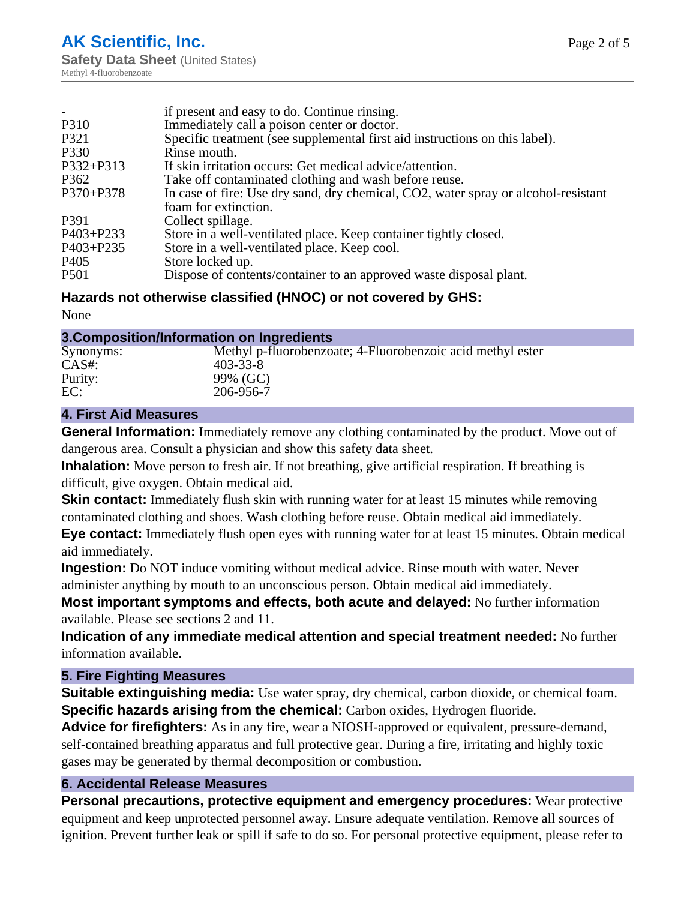|                  | if present and easy to do. Continue rinsing.                                       |
|------------------|------------------------------------------------------------------------------------|
| P310             | Immediately call a poison center or doctor.                                        |
| P321             | Specific treatment (see supplemental first aid instructions on this label).        |
| P330             | Rinse mouth.                                                                       |
| P332+P313        | If skin irritation occurs: Get medical advice/attention.                           |
| P <sub>362</sub> | Take off contaminated clothing and wash before reuse.                              |
| P370+P378        | In case of fire: Use dry sand, dry chemical, CO2, water spray or alcohol-resistant |
|                  | foam for extinction.                                                               |
| P391             | Collect spillage.                                                                  |
| P403+P233        | Store in a well-ventilated place. Keep container tightly closed.                   |
| $P403 + P235$    | Store in a well-ventilated place. Keep cool.                                       |
| P <sub>405</sub> | Store locked up.                                                                   |
| <b>P501</b>      | Dispose of contents/container to an approved waste disposal plant.                 |

#### **Hazards not otherwise classified (HNOC) or not covered by GHS:**

None

### **3.Composition/Information on Ingredients**

| Synonyms: | Methyl p-fluorobenzoate; 4-Fluorobenzoic acid methyl ester |
|-----------|------------------------------------------------------------|
| $CAS#$ :  | 403-33-8                                                   |
| Purity:   | 99% (GC)                                                   |
| EC:       | 206-956-7                                                  |
|           |                                                            |

#### **4. First Aid Measures**

**General Information:** Immediately remove any clothing contaminated by the product. Move out of dangerous area. Consult a physician and show this safety data sheet.

**Inhalation:** Move person to fresh air. If not breathing, give artificial respiration. If breathing is difficult, give oxygen. Obtain medical aid.

**Skin contact:** Immediately flush skin with running water for at least 15 minutes while removing contaminated clothing and shoes. Wash clothing before reuse. Obtain medical aid immediately.

**Eye contact:** Immediately flush open eyes with running water for at least 15 minutes. Obtain medical aid immediately.

**Ingestion:** Do NOT induce vomiting without medical advice. Rinse mouth with water. Never administer anything by mouth to an unconscious person. Obtain medical aid immediately.

**Most important symptoms and effects, both acute and delayed:** No further information available. Please see sections 2 and 11.

**Indication of any immediate medical attention and special treatment needed:** No further information available.

#### **5. Fire Fighting Measures**

**Suitable extinguishing media:** Use water spray, dry chemical, carbon dioxide, or chemical foam. **Specific hazards arising from the chemical:** Carbon oxides, Hydrogen fluoride.

**Advice for firefighters:** As in any fire, wear a NIOSH-approved or equivalent, pressure-demand, self-contained breathing apparatus and full protective gear. During a fire, irritating and highly toxic gases may be generated by thermal decomposition or combustion.

#### **6. Accidental Release Measures**

**Personal precautions, protective equipment and emergency procedures:** Wear protective equipment and keep unprotected personnel away. Ensure adequate ventilation. Remove all sources of ignition. Prevent further leak or spill if safe to do so. For personal protective equipment, please refer to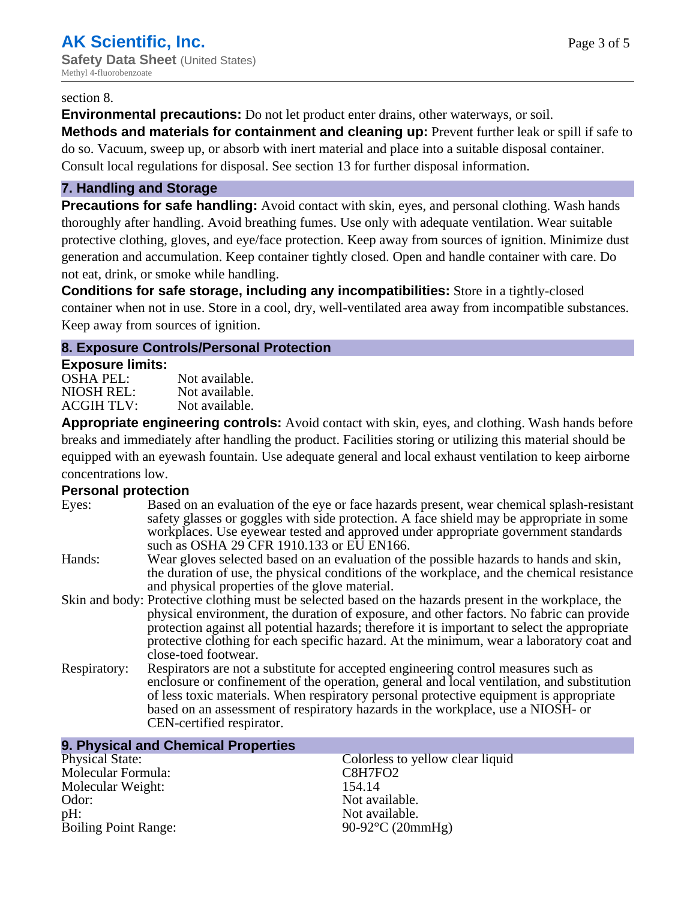#### section 8.

**Environmental precautions:** Do not let product enter drains, other waterways, or soil.

**Methods and materials for containment and cleaning up:** Prevent further leak or spill if safe to do so. Vacuum, sweep up, or absorb with inert material and place into a suitable disposal container. Consult local regulations for disposal. See section 13 for further disposal information.

#### **7. Handling and Storage**

**Precautions for safe handling:** Avoid contact with skin, eyes, and personal clothing. Wash hands thoroughly after handling. Avoid breathing fumes. Use only with adequate ventilation. Wear suitable protective clothing, gloves, and eye/face protection. Keep away from sources of ignition. Minimize dust generation and accumulation. Keep container tightly closed. Open and handle container with care. Do not eat, drink, or smoke while handling.

**Conditions for safe storage, including any incompatibilities:** Store in a tightly-closed container when not in use. Store in a cool, dry, well-ventilated area away from incompatible substances. Keep away from sources of ignition.

#### **8. Exposure Controls/Personal Protection**

#### **Exposure limits:**

| <b>OSHA PEL:</b>  | Not available. |
|-------------------|----------------|
| NIOSH REL:        | Not available. |
| <b>ACGIH TLV:</b> | Not available. |

**Appropriate engineering controls:** Avoid contact with skin, eyes, and clothing. Wash hands before breaks and immediately after handling the product. Facilities storing or utilizing this material should be equipped with an eyewash fountain. Use adequate general and local exhaust ventilation to keep airborne concentrations low.

#### **Personal protection**

| Eyes:        | Based on an evaluation of the eye or face hazards present, wear chemical splash-resistant<br>safety glasses or goggles with side protection. A face shield may be appropriate in some<br>workplaces. Use eyewear tested and approved under appropriate government standards<br>such as OSHA 29 CFR 1910.133 or EU EN166.                                                                                                |
|--------------|-------------------------------------------------------------------------------------------------------------------------------------------------------------------------------------------------------------------------------------------------------------------------------------------------------------------------------------------------------------------------------------------------------------------------|
| Hands:       | Wear gloves selected based on an evaluation of the possible hazards to hands and skin,<br>the duration of use, the physical conditions of the workplace, and the chemical resistance<br>and physical properties of the glove material.                                                                                                                                                                                  |
|              | Skin and body: Protective clothing must be selected based on the hazards present in the workplace, the<br>physical environment, the duration of exposure, and other factors. No fabric can provide<br>protection against all potential hazards; therefore it is important to select the appropriate<br>protective clothing for each specific hazard. At the minimum, wear a laboratory coat and<br>close-toed footwear. |
| Respiratory: | Respirators are not a substitute for accepted engineering control measures such as<br>enclosure or confinement of the operation, general and local ventilation, and substitution<br>of less toxic materials. When respiratory personal protective equipment is appropriate<br>based on an assessment of respiratory hazards in the workplace, use a NIOSH- or<br>CEN-certified respirator.                              |

| 9. Physical and Chemical Properties |                                  |
|-------------------------------------|----------------------------------|
| <b>Physical State:</b>              | Colorless to yellow clear liquid |
| Molecular Formula:                  | C8H7FO2                          |
| Molecular Weight:                   | 154.14                           |
| Odor:                               | Not available.                   |
| $pH$ :                              | Not available.                   |
| <b>Boiling Point Range:</b>         | 90-92 $\rm{^{\circ}C}$ (20mmHg)  |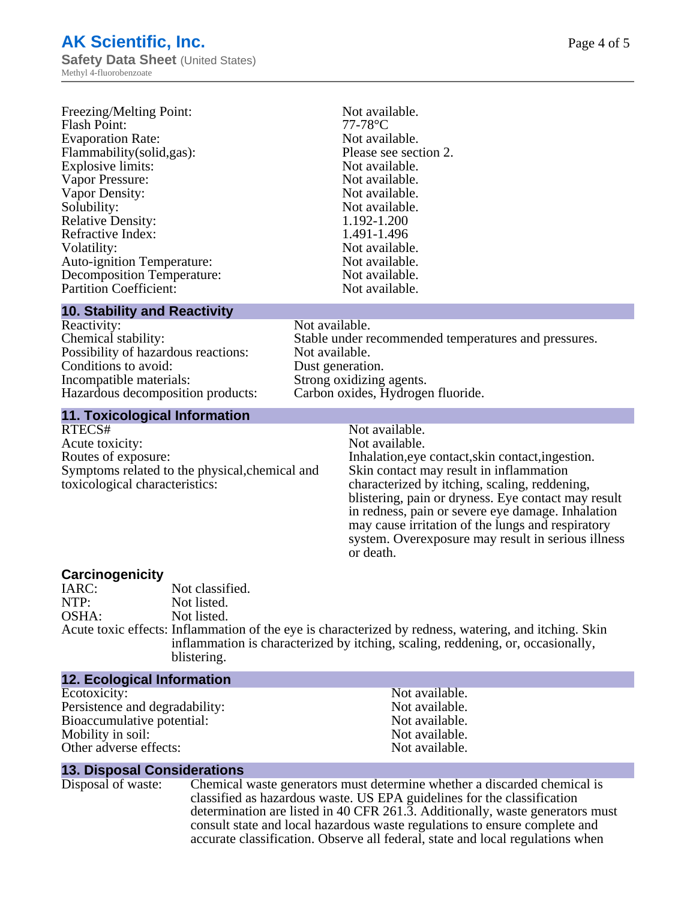### **AK Scientific, Inc. Safety Data Sheet** (United States)

Methyl 4-fluorobenzoate

| Freezing/Melting Point:           | Not available.        |
|-----------------------------------|-----------------------|
| <b>Flash Point:</b>               | $77-78$ °C            |
| <b>Evaporation Rate:</b>          | Not available.        |
| Flammability(solid,gas):          | Please see section 2. |
| <b>Explosive limits:</b>          | Not available.        |
| Vapor Pressure:                   | Not available.        |
| Vapor Density:                    | Not available.        |
| Solubility:                       | Not available.        |
| <b>Relative Density:</b>          | 1.192-1.200           |
| Refractive Index:                 | 1.491-1.496           |
| Volatility:                       | Not available.        |
| <b>Auto-ignition Temperature:</b> | Not available.        |
| <b>Decomposition Temperature:</b> | Not available.        |
| <b>Partition Coefficient:</b>     | Not available.        |

#### **10. Stability and Reactivity**

| Reactivity:                         |
|-------------------------------------|
| Chemical stability:                 |
| Possibility of hazardous reactions: |
| Conditions to avoid:                |
| Incompatible materials:             |
| Hazardous decomposition products:   |
|                                     |

#### Not available. Stable under recommended temperatures and pressures. Not available. Dust generation. Strong oxidizing agents. Carbon oxides, Hydrogen fluoride.

#### **11. Toxicological Information**

RTECS# Not available.<br>Acute toxicity: Not available. Acute toxicity: Routes of exposure: The Inhalation, eve contact, skin contact, ingestion. Symptoms related to the physical,chemical and toxicological characteristics:

Skin contact may result in inflammation characterized by itching, scaling, reddening, blistering, pain or dryness. Eye contact may result in redness, pain or severe eye damage. Inhalation may cause irritation of the lungs and respiratory system. Overexposure may result in serious illness or death.

**Carcinogenicity** IARC: Not classified.<br>
Not listed. Not listed. OSHA: Not listed. Acute toxic effects: Inflammation of the eye is characterized by redness, watering, and itching. Skin inflammation is characterized by itching, scaling, reddening, or, occasionally, blistering.

#### **12. Ecological Information**

Ecotoxicity: Not available.<br>
Not available.<br>
Not available.<br>
Not available. Persistence and degradability:<br>
Bioaccumulative potential:<br>
Not available.<br>
Not available. Bioaccumulative potential: Mobility in soil: Not available. Other adverse effects: Not available.

#### **13. Disposal Considerations**

Disposal of waste: Chemical waste generators must determine whether a discarded chemical is classified as hazardous waste. US EPA guidelines for the classification determination are listed in 40 CFR 261.3. Additionally, waste generators must consult state and local hazardous waste regulations to ensure complete and accurate classification. Observe all federal, state and local regulations when